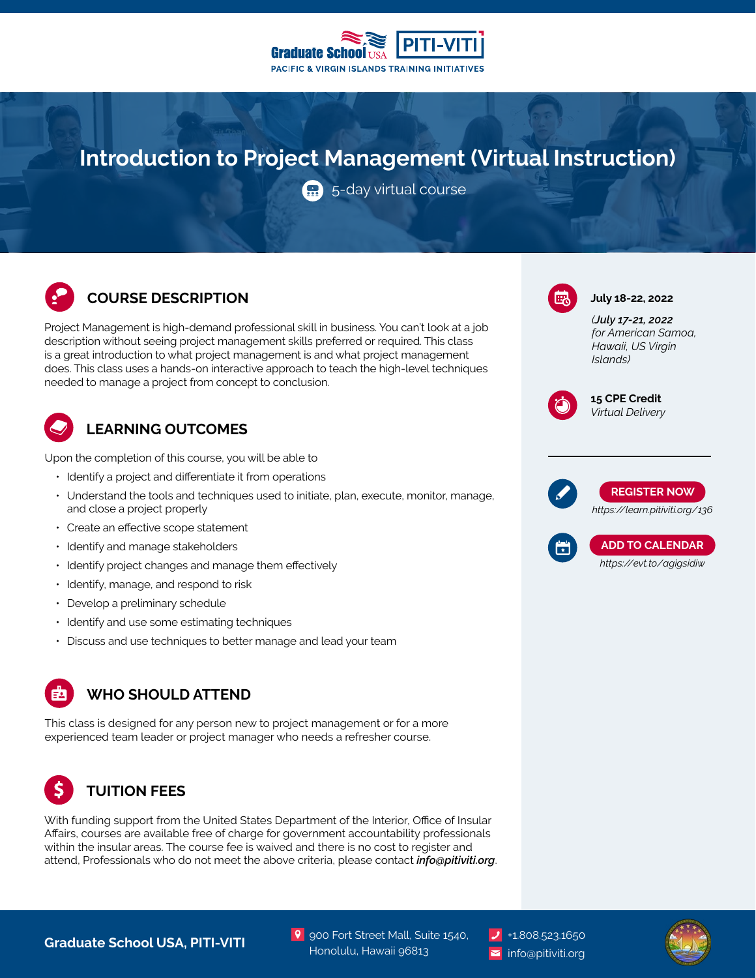

# **Introduction to Project Management (Virtual Instruction)**

5-day virtual course

#### **COURSE DESCRIPTION COURSE DESCRIPTION**

Project Management is high-demand professional skill in business. You can't look at a job description without seeing project management skills preferred or required. This class is a great introduction to what project management is and what project management does. This class uses a hands-on interactive approach to teach the high-level techniques needed to manage a project from concept to conclusion.

## **LEARNING OUTCOMES**

Upon the completion of this course, you will be able to

- Identify a project and differentiate it from operations
- Understand the tools and techniques used to initiate, plan, execute, monitor, manage, and close a project properly
- Create an effective scope statement
- Identify and manage stakeholders
- Identify project changes and manage them effectively
- Identify, manage, and respond to risk
- Develop a preliminary schedule
- Identify and use some estimating techniques
- Discuss and use techniques to better manage and lead your team

## **WHO SHOULD ATTEND**

This class is designed for any person new to project management or for a more experienced team leader or project manager who needs a refresher course.

## **TUITION FEES**

With funding support from the United States Department of the Interior, Office of Insular Affairs, courses are available free of charge for government accountability professionals within the insular areas. The course fee is waived and there is no cost to register and attend, Professionals who do not meet the above criteria, please contact *info@pitiviti.org*. *(July 17-21, 2022*

*for American Samoa, Hawaii, US Virgin Islands)*



**15 CPE Credit** *Virtual Delivery*





**Graduate School USA, PITI-VITI 1.808.523.1650** Published Mall, Suite 1540. Published at the School USA, PITI-VITI

9 900 Fort Street Mall, Suite 1540, Honolulu, Hawaii 96813

info@pitiviti.org

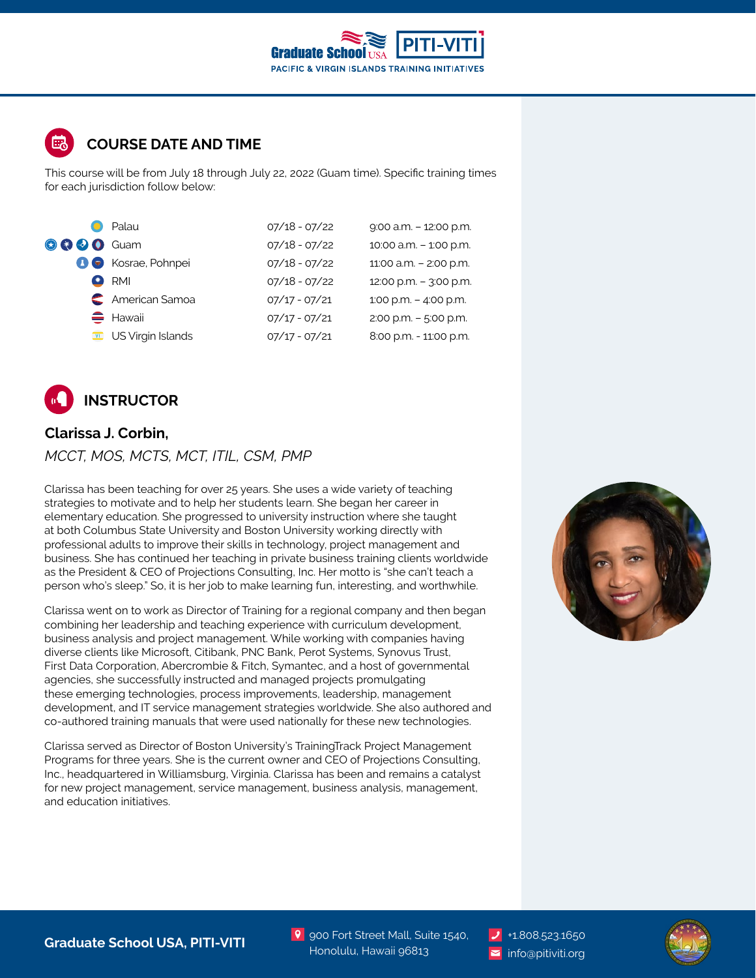

### **COURSE DATE AND TIME**

This course will be from July 18 through July 22, 2022 (Guam time). Specific training times for each jurisdiction follow below:

|                   | Palau                                     | $07/18 - 07/22$ | 9:00 a.m. - 12:00 p.m.   |
|-------------------|-------------------------------------------|-----------------|--------------------------|
| <b>O O O</b> Guam |                                           | $07/18 - 07/22$ | 10:00 a.m. - 1:00 p.m.   |
|                   | <b>A</b> C Kosrae, Pohnpei                | $07/18 - 07/22$ | 11:00 a.m. - 2:00 p.m.   |
|                   | <b>RMI</b>                                | $07/18 - 07/22$ | 12:00 p.m. - 3:00 p.m.   |
|                   | American Samoa                            | $07/17 - 07/21$ | 1:00 p.m. $-$ 4:00 p.m.  |
|                   | $\triangleq$ Hawaii                       | $07/17 - 07/21$ | $2:00$ p.m. $-5:00$ p.m. |
|                   | $\overline{\mathbf{w}}$ US Virgin Islands | $07/17 - 07/21$ | 8:00 p.m. - 11:00 p.m.   |



#### **Clarissa J. Corbin,**

#### *MCCT, MOS, MCTS, MCT, ITIL, CSM, PMP*

Clarissa has been teaching for over 25 years. She uses a wide variety of teaching strategies to motivate and to help her students learn. She began her career in elementary education. She progressed to university instruction where she taught at both Columbus State University and Boston University working directly with professional adults to improve their skills in technology, project management and business. She has continued her teaching in private business training clients worldwide as the President & CEO of Projections Consulting, Inc. Her motto is "she can't teach a person who's sleep." So, it is her job to make learning fun, interesting, and worthwhile.

Clarissa went on to work as Director of Training for a regional company and then began combining her leadership and teaching experience with curriculum development, business analysis and project management. While working with companies having diverse clients like Microsoft, Citibank, PNC Bank, Perot Systems, Synovus Trust, First Data Corporation, Abercrombie & Fitch, Symantec, and a host of governmental agencies, she successfully instructed and managed projects promulgating these emerging technologies, process improvements, leadership, management development, and IT service management strategies worldwide. She also authored and co-authored training manuals that were used nationally for these new technologies.

Clarissa served as Director of Boston University's TrainingTrack Project Management Programs for three years. She is the current owner and CEO of Projections Consulting, Inc., headquartered in Williamsburg, Virginia. Clarissa has been and remains a catalyst for new project management, service management, business analysis, management, and education initiatives.



9 900 Fort Street Mall, Suite 1540, Honolulu, Hawaii 96813